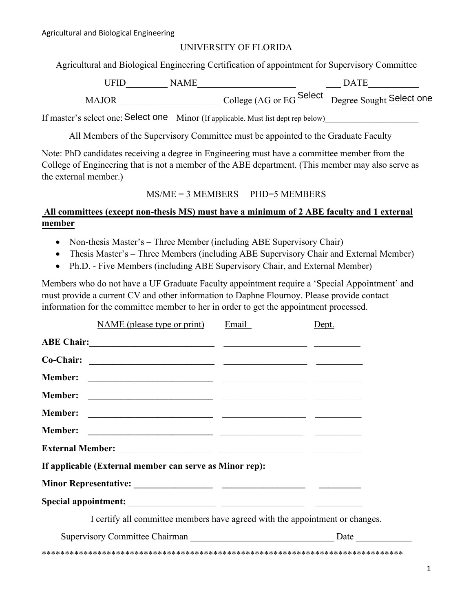## UNIVERSITY OF FLORIDA

Agricultural and Biological Engineering Certification of appointment for Supervisory Committee

| <b>IFID</b> | NAME | <b>DATE</b>                                       |
|-------------|------|---------------------------------------------------|
| MAJOR       |      | College (AG or EG Select Degree Sought Select one |

If master's select one: Select one Minor (If applicable. Must list dept rep below)\_\_\_\_\_\_\_\_\_\_\_\_\_\_\_\_\_\_\_\_\_\_\_\_\_\_\_\_

All Members of the Supervisory Committee must be appointed to the Graduate Faculty

Note: PhD candidates receiving a degree in Engineering must have a committee member from the College of Engineering that is not a member of the ABE department. (This member may also serve as the external member.)

## MS/ME = 3 MEMBERS PHD=5 MEMBERS

## **All committees (except non-thesis MS) must have a minimum of 2 ABE faculty and 1 external member**

- Non-thesis Master's Three Member (including ABE Supervisory Chair)
- Thesis Master's Three Members (including ABE Supervisory Chair and External Member)
- Ph.D. Five Members (including ABE Supervisory Chair, and External Member)

Members who do not have a UF Graduate Faculty appointment require a 'Special Appointment' and must provide a current CV and other information to Daphne Flournoy. Please provide contact information for the committee member to her in order to get the appointment processed.

|                                                                              | NAME (please type or print)                                                                                              | Email | Dept. |  |  |
|------------------------------------------------------------------------------|--------------------------------------------------------------------------------------------------------------------------|-------|-------|--|--|
|                                                                              |                                                                                                                          |       |       |  |  |
|                                                                              |                                                                                                                          |       |       |  |  |
| <b>Member:</b>                                                               |                                                                                                                          |       |       |  |  |
| <b>Member:</b>                                                               | <u> Alexandro Alexandro (Alexandro Alexandro Alexandro Alexandro Alexandro Alexandro Alexandro Alexandro Alexandro A</u> |       |       |  |  |
| <b>Member:</b>                                                               | <u> 1989 - Jan Stein Stein, fransk politik (f. 1989)</u>                                                                 |       |       |  |  |
| <b>Member:</b>                                                               | <u> 1999 - Jan James James, politik eta politik eta politikaria (h. 1908).</u>                                           |       |       |  |  |
|                                                                              |                                                                                                                          |       |       |  |  |
| If applicable (External member can serve as Minor rep):                      |                                                                                                                          |       |       |  |  |
|                                                                              |                                                                                                                          |       |       |  |  |
|                                                                              |                                                                                                                          |       |       |  |  |
| I certify all committee members have agreed with the appointment or changes. |                                                                                                                          |       |       |  |  |
|                                                                              |                                                                                                                          |       |       |  |  |
|                                                                              |                                                                                                                          |       |       |  |  |